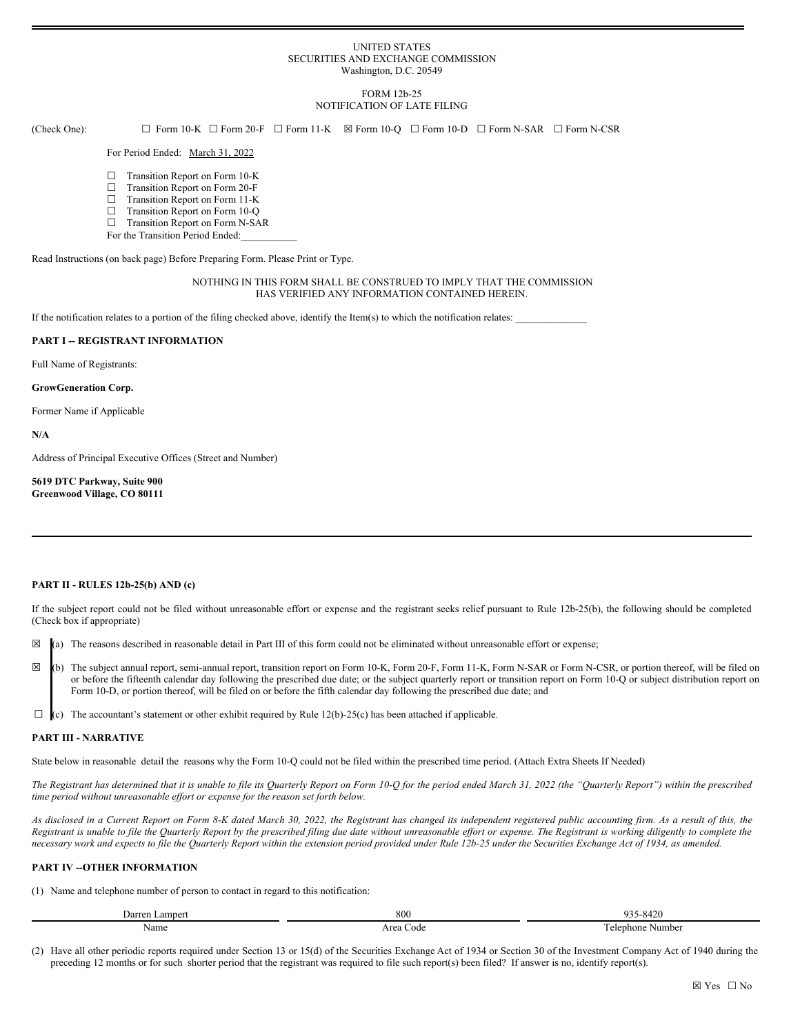### UNITED STATES SECURITIES AND EXCHANGE COMMISSION Washington, D.C. 20549

### FORM 12b-25 NOTIFICATION OF LATE FILING

(Check One): ☐ Form 10-K ☐ Form 20-F ☐ Form 11-K ☒ Form 10-Q ☐ Form 10-D ☐ Form N-SAR ☐ Form N-CSR

## For Period Ended: March 31, 2022

- ☐ Transition Report on Form 10-K
- ☐ Transition Report on Form 20-F
- ☐ Transition Report on Form 11-K
- □ Transition Report on Form 10-Q
- ☐ Transition Report on Form N-SAR
- For the Transition Period Ended:

Read Instructions (on back page) Before Preparing Form. Please Print or Type.

## NOTHING IN THIS FORM SHALL BE CONSTRUED TO IMPLY THAT THE COMMISSION HAS VERIFIED ANY INFORMATION CONTAINED HEREIN.

If the notification relates to a portion of the filing checked above, identify the Item(s) to which the notification relates:

### **PART I -- REGISTRANT INFORMATION**

Full Name of Registrants:

#### **GrowGeneration Corp.**

Former Name if Applicable

**N/A**

Address of Principal Executive Offices (Street and Number)

**5619 DTC Parkway, Suite 900 Greenwood Village, CO 80111**

#### **PART II - RULES 12b-25(b) AND (c)**

If the subject report could not be filed without unreasonable effort or expense and the registrant seeks relief pursuant to Rule 12b-25(b), the following should be completed (Check box if appropriate)

- $\boxtimes$  (a) The reasons described in reasonable detail in Part III of this form could not be eliminated without unreasonable effort or expense;
- ☒ (b) The subject annual report, semi-annual report, transition report on Form 10-K, Form 20-F, Form 11-K, Form N-SAR or Form N-CSR, or portion thereof, will be filed on or before the fifteenth calendar day following the prescribed due date; or the subject quarterly report or transition report on Form 10-Q or subject distribution report on Form 10-D, or portion thereof, will be filed on or before the fifth calendar day following the prescribed due date; and
- $\Box$  (c) The accountant's statement or other exhibit required by Rule 12(b)-25(c) has been attached if applicable.

# **PART III - NARRATIVE**

State below in reasonable detail the reasons why the Form 10-Q could not be filed within the prescribed time period. (Attach Extra Sheets If Needed)

The Registrant has determined that it is unable to file its Quarterly Report on Form 10-Q for the period ended March 31, 2022 (the "Quarterly Report") within the prescribed *time period without unreasonable ef ort or expense for the reason set forth below.*

As disclosed in a Current Report on Form 8-K dated March 30, 2022, the Registrant has changed its independent registered public accounting firm. As a result of this, the Registrant is unable to file the Quarterly Report by the prescribed filing due date without unreasonable effort or expense. The Registrant is working diligently to complete the necessary work and expects to file the Quarterly Report within the extension period provided under Rule 12b-25 under the Securities Exchange Act of 1934, as amended.

# **PART IV --OTHER INFORMATION**

(1) Name and telephone number of person to contact in regard to this notification:

| amper<br>. Jar | 800                 | $\sim$<br>3.471                             |
|----------------|---------------------|---------------------------------------------|
| Name           | $\sim$<br>Code<br>. | Number<br>mhone<br>$\Delta$ l $\Delta$<br>. |

(2) Have all other periodic reports required under Section 13 or 15(d) of the Securities Exchange Act of 1934 or Section 30 of the Investment Company Act of 1940 during the preceding 12 months or for such shorter period that the registrant was required to file such report(s) been filed? If answer is no, identify report(s).